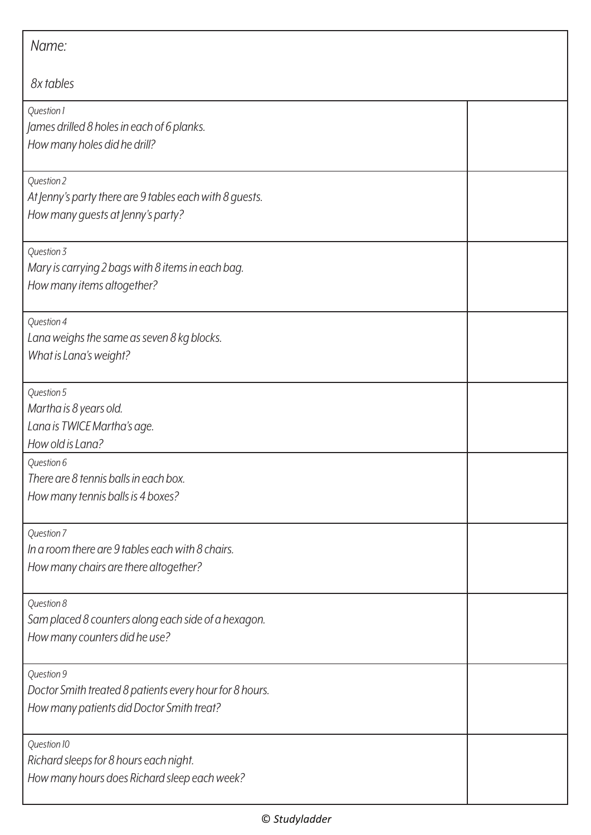| Name:                                                                                                              |  |
|--------------------------------------------------------------------------------------------------------------------|--|
| 8x tables                                                                                                          |  |
| Question 1<br>James drilled 8 holes in each of 6 planks.<br>How many holes did he drill?                           |  |
| Question 2<br>At Jenny's party there are 9 tables each with 8 guests.<br>How many guests at Jenny's party?         |  |
| Question 3<br>Mary is carrying 2 bags with 8 items in each bag.<br>How many items altogether?                      |  |
| Question 4<br>Lana weighs the same as seven 8 kg blocks.<br>What is Lana's weight?                                 |  |
| Question 5<br>Martha is 8 years old.<br>Lana is TWICE Martha's age.<br>How old is Lana?                            |  |
| Question 6<br>There are 8 tennis balls in each box.<br>How many tennis balls is 4 boxes?                           |  |
| Question 7<br>In a room there are 9 tables each with 8 chairs.<br>How many chairs are there altogether?            |  |
| Question 8<br>Sam placed 8 counters along each side of a hexagon.<br>How many counters did he use?                 |  |
| Question 9<br>Doctor Smith treated 8 patients every hour for 8 hours.<br>How many patients did Doctor Smith treat? |  |
| Question 10<br>Richard sleeps for 8 hours each night.<br>How many hours does Richard sleep each week?              |  |